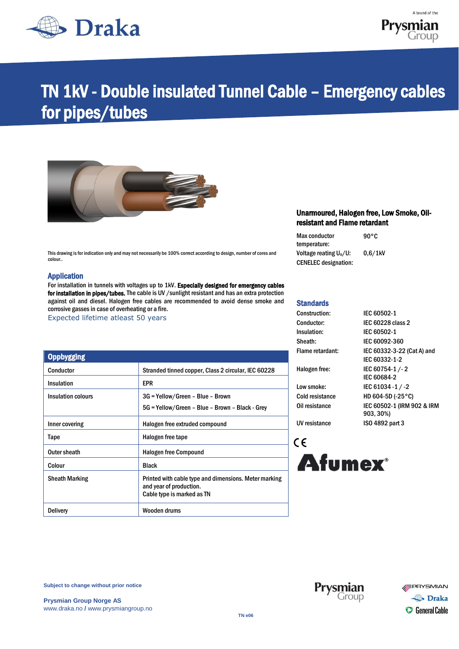

# TN 1kV - Double insulated Tunnel Cable – Emergency cables for pipes/tubes



This drawing is for indication only and may not necessarily be 100% correct according to design, number of cores and colour..

#### Application

For installation in tunnels with voltages up to 1kV. Especially designed for emergency cables for installation in pipes/tubes. The cable is UV / sunlight resistant and has an extra protection against oil and diesel. Halogen free cables are recommended to avoid dense smoke and corrosive gasses in case of overheating or a fire. Expected lifetime atleast 50 years

## **Oppbygging**

| Conductor             | Stranded tinned copper, Class 2 circular, IEC 60228                                                            |  |  |  |
|-----------------------|----------------------------------------------------------------------------------------------------------------|--|--|--|
| <b>Insulation</b>     | <b>EPR</b>                                                                                                     |  |  |  |
| Insulation colours    | 3G = Yellow/Green - Blue - Brown<br>5G = Yellow/Green - Blue - Brown - Black - Grey                            |  |  |  |
| Inner covering        | Halogen free extruded compound                                                                                 |  |  |  |
| Tape                  | Halogen free tape                                                                                              |  |  |  |
| Outer sheath          | <b>Halogen free Compound</b>                                                                                   |  |  |  |
| Colour                | <b>Black</b>                                                                                                   |  |  |  |
| <b>Sheath Marking</b> | Printed with cable type and dimensions. Meter marking<br>and year of production.<br>Cable type is marked as TN |  |  |  |
| <b>Delivery</b>       | <b>Wooden drums</b>                                                                                            |  |  |  |

### Unarmoured, Halogen free, Low Smoke, Oilresistant and Flame retardant

| <b>Max conductor</b>               | $90^{\circ}$ C |
|------------------------------------|----------------|
| temperature:                       |                |
| Voltage reating U <sub>0</sub> /U: | $0.6/1$ kV     |
| <b>CENELEC</b> designation:        |                |

### **Standards**

| Construction:        | IEC 60502-1                  |
|----------------------|------------------------------|
| Conductor:           | IEC 60228 class 2            |
| Insulation:          | IEC 60502-1                  |
| Sheath:              | IEC 60092-360                |
| Flame retardant:     | IEC 60332-3-22 (Cat A) and   |
|                      | IEC 60332-1-2                |
| Halogen free:        | IEC 60754-1 /-2              |
|                      | IEC 60684-2                  |
| Low smoke:           | IEC 61034 -1 / -2            |
| Cold resistance      | HD 604-5D (-25 $^{\circ}$ C) |
| Oil resistance       | IEC 60502-1 (IRM 902 & IRM   |
|                      | 903.30%)                     |
| <b>UV</b> resistance | ISO 4892 part 3              |
|                      |                              |



**Subject to change without prior notice**

**Prysmian Group Norge AS** [www.draka.no](http://www.draka.no/) **/** [www.prysmiangroup.no](http://www.prysmiangroup.no/)